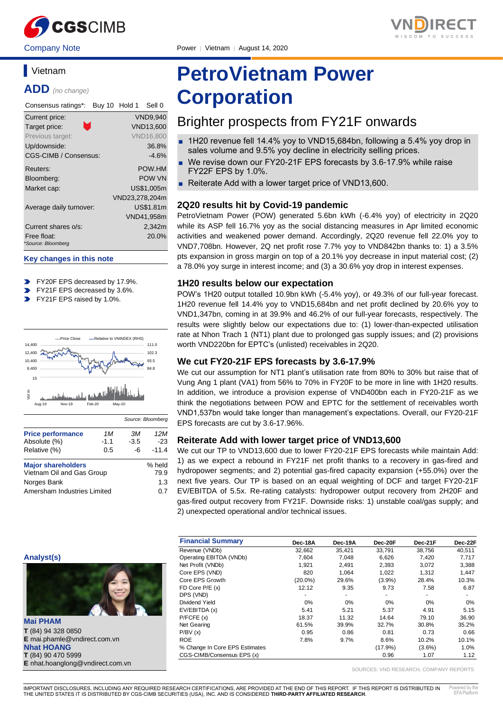

#### Company Note Power │ Vietnam │ August 14, 2020

# **Vietnam**

**ADD** *(no change)*

| Consensus ratings*:     | Sell 0<br>Buy 10 Hold 1 |
|-------------------------|-------------------------|
| Current price:          | <b>VND9,940</b>         |
| Target price:           | <b>VND13,600</b>        |
| Previous target:        | <b>VND16,800</b>        |
| Up/downside:            | 36.8%                   |
| CGS-CIMB / Consensus:   | $-4.6%$                 |
| Reuters:                | POW.HM                  |
| Bloomberg:              | <b>POW VN</b>           |
| Market cap:             | US\$1.005m              |
|                         | VND23,278,204m          |
| Average daily turnover: | US\$1.81m               |
|                         | VND41,958m              |
| Current shares o/s:     | 2,342m                  |
| Free float:             | 20.0%                   |
| *Source: Bloomberg      |                         |

#### **Key changes in this note**

- FY20F EPS decreased by 17.9%.
- $\blacktriangleright$ FY21F EPS decreased by 3.6%.
- FY21F EPS raised by 1.0%.



| <b>Price performance</b>                               | 1M     | ЗМ             | 12M     |
|--------------------------------------------------------|--------|----------------|---------|
| Absolute (%)                                           | $-1.1$ | $-3.5$         | $-23$   |
| Relative (%)                                           | 0.5    | -6             | $-11.4$ |
| <b>Major shareholders</b><br>Vietnam Oil and Gas Group |        | % held<br>79.9 |         |
| Norges Bank                                            |        |                | 1.3     |
| Amersham Industries Limited                            |        |                | 0.7     |

# **PetroVietnam Power Corporation**

# Brighter prospects from FY21F onwards

- 1H20 revenue fell 14.4% yoy to VND15,684bn, following a 5.4% yoy drop in sales volume and 9.5% yoy decline in electricity selling prices.
- We revise down our FY20-21F EPS forecasts by 3.6-17.9% while raise FY22F EPS by 1.0%.
- Reiterate Add with a lower target price of VND13,600.

# **2Q20 results hit by Covid-19 pandemic**

PetroVietnam Power (POW) generated 5.6bn kWh (-6.4% yoy) of electricity in 2Q20 while its ASP fell 16.7% yoy as the social distancing measures in Apr limited economic activities and weakened power demand. Accordingly, 2Q20 revenue fell 22.0% yoy to VND7,708bn. However, 2Q net profit rose 7.7% yoy to VND842bn thanks to: 1) a 3.5% pts expansion in gross margin on top of a 20.1% yoy decrease in input material cost; (2) a 78.0% yoy surge in interest income; and (3) a 30.6% yoy drop in interest expenses.

## **1H20 results below our expectation**

POW's 1H20 output totalled 10.9bn kWh (-5.4% yoy), or 49.3% of our full-year forecast. 1H20 revenue fell 14.4% yoy to VND15,684bn and net profit declined by 20.6% yoy to VND1,347bn, coming in at 39.9% and 46.2% of our full-year forecasts, respectively. The results were slightly below our expectations due to: (1) lower-than-expected utilisation rate at Nhon Trach 1 (NT1) plant due to prolonged gas supply issues; and (2) provisions worth VND220bn for EPTC's (unlisted) receivables in 2Q20.

# **We cut FY20-21F EPS forecasts by 3.6-17.9%**

We cut our assumption for NT1 plant's utilisation rate from 80% to 30% but raise that of Vung Ang 1 plant (VA1) from 56% to 70% in FY20F to be more in line with 1H20 results. In addition, we introduce a provision expense of VND400bn each in FY20-21F as we think the negotiations between POW and EPTC for the settlement of receivables worth VND1,537bn would take longer than management's expectations. Overall, our FY20-21F EPS forecasts are cut by 3.6-17.96%.

# **Reiterate Add with lower target price of VND13,600**

We cut our TP to VND13,600 due to lower FY20-21F EPS forecasts while maintain Add: 1) as we expect a rebound in FY21F net profit thanks to a recovery in gas-fired and hydropower segments; and 2) potential gas-fired capacity expansion (+55.0%) over the next five years. Our TP is based on an equal weighting of DCF and target FY20-21F EV/EBITDA of 5.5x. Re-rating catalysts: hydropower output recovery from 2H20F and gas-fired output recovery from FY21F. Downside risks: 1) unstable coal/gas supply; and 2) unexpected operational and/or technical issues.

| <b>Financial Summary</b>       | Dec-18A    | Dec-19A | Dec-20F    | Dec-21F   | Dec-22F |
|--------------------------------|------------|---------|------------|-----------|---------|
| Revenue (VNDb)                 | 32.662     | 35.421  | 33.791     | 38.756    | 40.511  |
| Operating EBITDA (VNDb)        | 7.604      | 7.048   | 6,626      | 7.420     | 7,717   |
| Net Profit (VNDb)              | 1.921      | 2,491   | 2,393      | 3,072     | 3,388   |
| Core EPS (VND)                 | 820        | 1.064   | 1.022      | 1.312     | 1,447   |
| Core EPS Growth                | $(20.0\%)$ | 29.6%   | (3.9%)     | 28.4%     | 10.3%   |
| FD Core $P/E(x)$               | 12.12      | 9.35    | 9.73       | 7.58      | 6.87    |
| DPS (VND)                      | ۰          | ۰       | ۰          | ٠         |         |
| Dividend Yield                 | 0%         | 0%      | 0%         | 0%        | 0%      |
| EV/EBITDA (x)                  | 5.41       | 5.21    | 5.37       | 4.91      | 5.15    |
| P/FCFE(x)                      | 18.37      | 11.32   | 14.64      | 79.10     | 36.90   |
| Net Gearing                    | 61.5%      | 39.9%   | 32.7%      | 30.8%     | 35.2%   |
| P/BV(x)                        | 0.95       | 0.86    | 0.81       | 0.73      | 0.66    |
| <b>ROE</b>                     | 7.8%       | 9.7%    | 8.6%       | 10.2%     | 10.1%   |
| % Change In Core EPS Estimates |            |         | $(17.9\%)$ | $(3.6\%)$ | 1.0%    |
| CGS-CIMB/Consensus EPS (x)     |            |         | 0.96       | 1.07      | 1.12    |

SOURCES: VND RESEARCH, COMPANY REPORTS



**Mai PHAM T** (84) 94 328 0850 **E** mai.phamle@vndirect.com.vn **Nhat HOANG T** (84) 90 470 5999 **E** nhat.hoanglong@vndirect.com.vn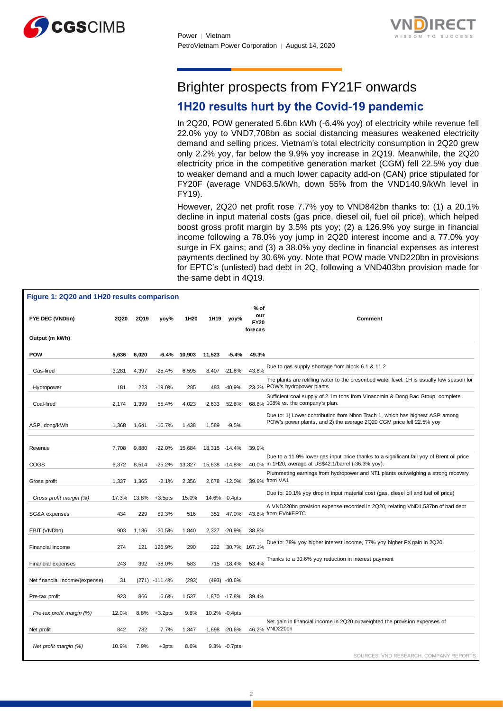



# Brighter prospects from FY21F onwards

# **1H20 results hurt by the Covid-19 pandemic**

In 2Q20, POW generated 5.6bn kWh (-6.4% yoy) of electricity while revenue fell 22.0% yoy to VND7,708bn as social distancing measures weakened electricity demand and selling prices. Vietnam's total electricity consumption in 2Q20 grew only 2.2% yoy, far below the 9.9% yoy increase in 2Q19. Meanwhile, the 2Q20 electricity price in the competitive generation market (CGM) fell 22.5% yoy due to weaker demand and a much lower capacity add-on (CAN) price stipulated for FY20F (average VND63.5/kWh, down 55% from the VND140.9/kWh level in FY19).

However, 2Q20 net profit rose 7.7% yoy to VND842bn thanks to: (1) a 20.1% decline in input material costs (gas price, diesel oil, fuel oil price), which helped boost gross profit margin by 3.5% pts yoy; (2) a 126.9% yoy surge in financial income following a 78.0% yoy jump in 2Q20 interest income and a 77.0% yoy surge in FX gains; and (3) a 38.0% yoy decline in financial expenses as interest payments declined by 30.6% yoy. Note that POW made VND220bn in provisions for EPTC's (unlisted) bad debt in 2Q, following a VND403bn provision made for the same debt in 4Q19.

| Figure 1: 2Q20 and 1H20 results comparison |             |             |            |                  |                  |               |                                         |                                                                                                                     |
|--------------------------------------------|-------------|-------------|------------|------------------|------------------|---------------|-----------------------------------------|---------------------------------------------------------------------------------------------------------------------|
| FYE DEC (VNDbn)<br>Output (m kWh)          | <b>2Q20</b> | <b>2Q19</b> | yoy%       | 1H <sub>20</sub> | 1H <sub>19</sub> | yoy%          | $%$ of<br>our<br><b>FY20</b><br>forecas | Comment                                                                                                             |
|                                            |             |             |            |                  |                  |               |                                         |                                                                                                                     |
| POW                                        | 5,636       | 6,020       | $-6.4%$    | 10,903           | 11,523           | $-5.4%$       | 49.3%                                   |                                                                                                                     |
| Gas-fired                                  | 3,281       | 4,397       | $-25.4%$   | 6,595            |                  | 8,407 -21.6%  | 43.8%                                   | Due to gas supply shortage from block 6.1 & 11.2                                                                    |
|                                            |             |             |            |                  |                  |               |                                         | The plants are refilling water to the prescribed water level. 1H is usually low season for                          |
| Hydropower                                 | 181         | 223         | $-19.0%$   | 285              | 483              | $-40.9%$      |                                         | 23.2% POW's hydropower plants                                                                                       |
| Coal-fired                                 | 2,174       | 1,399       | 55.4%      | 4,023            | 2,633            | 52.8%         |                                         | Sufficient coal supply of 2.1m tons from Vinacomin & Dong Bac Group, complete<br>68.8% 108% vs. the company's plan. |
|                                            |             |             |            |                  |                  |               |                                         | Due to: 1) Lower contribution from Nhon Trach 1, which has highest ASP among                                        |
| ASP, dong/kWh                              | 1,368       | 1,641       | $-16.7%$   | 1,438            | 1,589            | $-9.5%$       |                                         | POW's power plants, and 2) the average 2Q20 CGM price fell 22.5% yoy                                                |
|                                            |             |             |            |                  |                  |               |                                         |                                                                                                                     |
| Revenue                                    | 7,708       | 9,880       | $-22.0%$   | 15,684           | 18,315 -14.4%    |               | 39.9%                                   |                                                                                                                     |
|                                            |             |             |            |                  |                  |               |                                         | Due to a 11.9% lower gas input price thanks to a significant fall yoy of Brent oil price                            |
| <b>COGS</b>                                | 6,372       | 8,514       | $-25.2%$   | 13,327           | 15,638 -14.8%    |               |                                         | 40.0% in 1H20, average at US\$42.1/barrel (-36.3% yoy).                                                             |
| Gross profit                               | 1,337       | 1,365       | $-2.1%$    | 2,356            |                  | 2,678 -12.0%  |                                         | Plummeting earnings from hydropower and NT1 plants outweighing a strong recovery<br>39.8% from VA1                  |
| Gross profit margin (%)                    | 17.3%       | 13.8%       | $+3.5$ pts | 15.0%            | 14.6%            | 0.4pts        |                                         | Due to: 20.1% yoy drop in input material cost (gas, diesel oil and fuel oil price)                                  |
|                                            |             |             |            |                  |                  |               |                                         | A VND220bn provision expense recorded in 2Q20, relating VND1,537bn of bad debt                                      |
| SG&A expenses                              | 434         | 229         | 89.3%      | 516              | 351              | 47.0%         |                                         | 43.8% from EVN/EPTC                                                                                                 |
| EBIT (VNDbn)                               | 903         | 1,136       | $-20.5%$   | 1,840            | 2,327            | $-20.9%$      | 38.8%                                   |                                                                                                                     |
|                                            |             |             |            |                  |                  |               |                                         |                                                                                                                     |
| Financial income                           | 274         | 121         | 126.9%     | 290              | 222              | 30.7%         | 167.1%                                  | Due to: 78% yoy higher interest income, 77% yoy higher FX gain in 2Q20                                              |
|                                            |             |             |            |                  |                  |               | 53.4%                                   | Thanks to a 30.6% yoy reduction in interest payment                                                                 |
| Financial expenses                         | 243         | 392         | $-38.0%$   | 583              |                  | 715 - 18.4%   |                                         |                                                                                                                     |
| Net financial income/(expense)             | 31          | (271)       | $-111.4%$  | (293)            |                  | (493) -40.6%  |                                         |                                                                                                                     |
| Pre-tax profit                             | 923         | 866         | 6.6%       | 1,537            |                  | 1,870 -17.8%  | 39.4%                                   |                                                                                                                     |
|                                            |             |             |            |                  |                  |               |                                         |                                                                                                                     |
| Pre-tax profit margin (%)                  | 12.0%       | 8.8%        | $+3.2$ pts | 9.8%             |                  | 10.2% -0.4pts |                                         |                                                                                                                     |
| Net profit                                 | 842         | 782         | 7.7%       | 1,347            |                  | 1,698 -20.6%  |                                         | Net gain in financial income in 2Q20 outweighted the provision expenses of<br>46.2% VND220bn                        |
|                                            |             |             |            |                  |                  |               |                                         |                                                                                                                     |
| Net profit margin (%)                      | 10.9%       | 7.9%        | $+3pts$    | 8.6%             |                  | 9.3% - 0.7pts |                                         |                                                                                                                     |
|                                            |             |             |            |                  |                  |               |                                         | SOURCES: VND RESEARCH, COMPANY REPORTS                                                                              |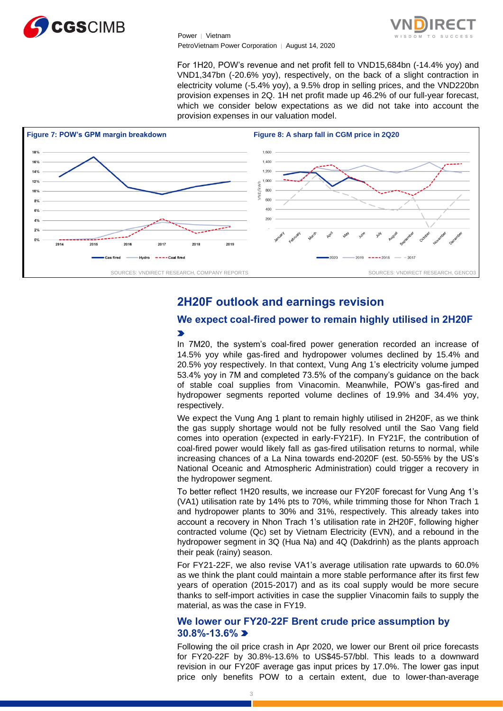

For 1H20, POW's revenue and net profit fell to VND15,684bn (-14.4% yoy) and VND1,347bn (-20.6% yoy), respectively, on the back of a slight contraction in electricity volume (-5.4% yoy), a 9.5% drop in selling prices, and the VND220bn provision expenses in 2Q. 1H net profit made up 46.2% of our full-year forecast, which we consider below expectations as we did not take into account the provision expenses in our valuation model.



# **2H20F outlook and earnings revision**

# **We expect coal-fired power to remain highly utilised in 2H20F**  $\blacktriangleright$

In 7M20, the system's coal-fired power generation recorded an increase of 14.5% yoy while gas-fired and hydropower volumes declined by 15.4% and 20.5% yoy respectively. In that context, Vung Ang 1's electricity volume jumped 53.4% yoy in 7M and completed 73.5% of the company's guidance on the back of stable coal supplies from Vinacomin. Meanwhile, POW's gas-fired and hydropower segments reported volume declines of 19.9% and 34.4% yoy, respectively.

We expect the Vung Ang 1 plant to remain highly utilised in 2H20F, as we think the gas supply shortage would not be fully resolved until the Sao Vang field comes into operation (expected in early-FY21F). In FY21F, the contribution of coal-fired power would likely fall as gas-fired utilisation returns to normal, while increasing chances of a La Nina towards end-2020F (est. 50-55% by the US's National Oceanic and Atmospheric Administration) could trigger a recovery in the hydropower segment.

To better reflect 1H20 results, we increase our FY20F forecast for Vung Ang 1's (VA1) utilisation rate by 14% pts to 70%, while trimming those for Nhon Trach 1 and hydropower plants to 30% and 31%, respectively. This already takes into account a recovery in Nhon Trach 1's utilisation rate in 2H20F, following higher contracted volume (Qc) set by Vietnam Electricity (EVN), and a rebound in the hydropower segment in 3Q (Hua Na) and 4Q (Dakdrinh) as the plants approach their peak (rainy) season.

For FY21-22F, we also revise VA1's average utilisation rate upwards to 60.0% as we think the plant could maintain a more stable performance after its first few years of operation (2015-2017) and as its coal supply would be more secure thanks to self-import activities in case the supplier Vinacomin fails to supply the material, as was the case in FY19.

# **We lower our FY20-22F Brent crude price assumption by 30.8%-13.6%**

Following the oil price crash in Apr 2020, we lower our Brent oil price forecasts for FY20-22F by 30.8%-13.6% to US\$45-57/bbl. This leads to a downward revision in our FY20F average gas input prices by 17.0%. The lower gas input price only benefits POW to a certain extent, due to lower-than-average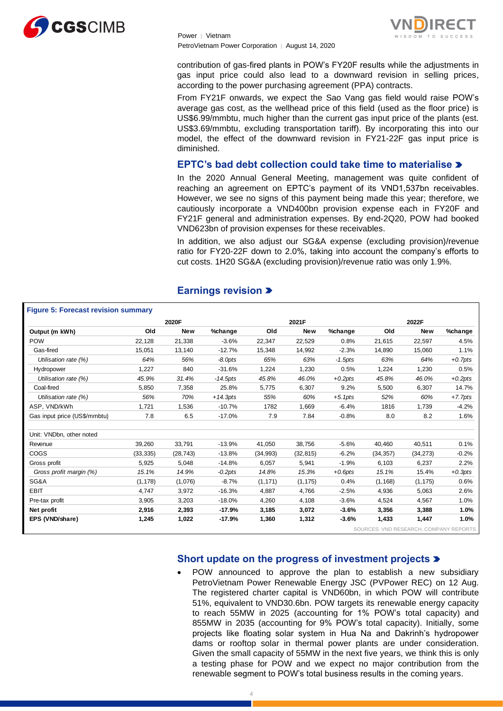



contribution of gas-fired plants in POW's FY20F results while the adjustments in gas input price could also lead to a downward revision in selling prices, according to the power purchasing agreement (PPA) contracts.

From FY21F onwards, we expect the Sao Vang gas field would raise POW's average gas cost, as the wellhead price of this field (used as the floor price) is US\$6.99/mmbtu, much higher than the current gas input price of the plants (est. US\$3.69/mmbtu, excluding transportation tariff). By incorporating this into our model, the effect of the downward revision in FY21-22F gas input price is diminished.

# **EPTC's bad debt collection could take time to materialise**

In the 2020 Annual General Meeting, management was quite confident of reaching an agreement on EPTC's payment of its VND1,537bn receivables. However, we see no signs of this payment being made this year; therefore, we cautiously incorporate a VND400bn provision expense each in FY20F and FY21F general and administration expenses. By end-2Q20, POW had booked VND623bn of provision expenses for these receivables.

In addition, we also adjust our SG&A expense (excluding provision)/revenue ratio for FY20-22F down to 2.0%, taking into account the company's efforts to cut costs. 1H20 SG&A (excluding provision)/revenue ratio was only 1.9%.

|                              |           | 2020F      |             |           | 2021F      |            |           | 2022F      |            |
|------------------------------|-----------|------------|-------------|-----------|------------|------------|-----------|------------|------------|
| Output (m kWh)               | Old       | <b>New</b> | %change     | Old       | <b>New</b> | %change    | Old       | <b>New</b> | %change    |
| <b>POW</b>                   | 22,128    | 21,338     | $-3.6%$     | 22,347    | 22,529     | 0.8%       | 21,615    | 22,597     | 4.5%       |
| Gas-fired                    | 15,051    | 13,140     | $-12.7%$    | 15,348    | 14,992     | $-2.3%$    | 14,890    | 15,060     | 1.1%       |
| Utilisation rate (%)         | 64%       | 56%        | $-8.0$ pts  | 65%       | 63%        | $-1.5$ pts | 63%       | 64%        | $+0.7$ pts |
| Hydropower                   | 1,227     | 840        | $-31.6%$    | 1,224     | 1,230      | 0.5%       | 1,224     | 1,230      | 0.5%       |
| Utilisation rate (%)         | 45.9%     | 31.4%      | $-14.5$ pts | 45.8%     | 46.0%      | $+0.2pts$  | 45.8%     | 46.0%      | $+0.2pts$  |
| Coal-fired                   | 5,850     | 7,358      | 25.8%       | 5,775     | 6,307      | 9.2%       | 5,500     | 6,307      | 14.7%      |
| Utilisation rate (%)         | 56%       | 70%        | $+14.3pts$  | 55%       | 60%        | $+5.1pts$  | 52%       | 60%        | $+7.7pts$  |
| ASP, VND/kWh                 | 1,721     | 1,536      | $-10.7%$    | 1782      | 1,669      | $-6.4%$    | 1816      | 1,739      | $-4.2%$    |
| Gas input price (US\$/mmbtu) | 7.8       | 6.5        | $-17.0%$    | 7.9       | 7.84       | $-0.8%$    | 8.0       | 8.2        | 1.6%       |
| Unit: VNDbn, other noted     |           |            |             |           |            |            |           |            |            |
| Revenue                      | 39,260    | 33,791     | $-13.9%$    | 41,050    | 38,756     | $-5.6%$    | 40,460    | 40,511     | 0.1%       |
| COGS                         | (33, 335) | (28, 743)  | $-13.8%$    | (34, 993) | (32, 815)  | $-6.2%$    | (34, 357) | (34, 273)  | $-0.2%$    |
| Gross profit                 | 5,925     | 5,048      | $-14.8%$    | 6,057     | 5,941      | $-1.9%$    | 6,103     | 6,237      | 2.2%       |
| Gross profit margin (%)      | 15.1%     | 14.9%      | $-0.2pts$   | 14.8%     | 15.3%      | $+0.6pts$  | 15.1%     | 15.4%      | $+0.3pts$  |
| SG&A                         | (1, 178)  | (1,076)    | $-8.7%$     | (1, 171)  | (1, 175)   | 0.4%       | (1, 168)  | (1, 175)   | 0.6%       |
| <b>EBIT</b>                  | 4,747     | 3,972      | $-16.3%$    | 4,887     | 4,766      | $-2.5%$    | 4,936     | 5,063      | 2.6%       |
| Pre-tax profit               | 3,905     | 3,203      | $-18.0%$    | 4,260     | 4,108      | $-3.6%$    | 4,524     | 4,567      | 1.0%       |
| Net profit                   | 2,916     | 2,393      | $-17.9%$    | 3,185     | 3,072      | $-3.6%$    | 3,356     | 3,388      | 1.0%       |
| EPS (VND/share)              | 1,245     | 1,022      | $-17.9%$    | 1,360     | 1,312      | $-3.6%$    | 1,433     | 1,447      | 1.0%       |

# **Earnings revision**

SOURCES: VND RESEARCH, COMPANY REPORTS

# **Short update on the progress of investment projects**

• POW announced to approve the plan to establish a new subsidiary PetroVietnam Power Renewable Energy JSC (PVPower REC) on 12 Aug. The registered charter capital is VND60bn, in which POW will contribute 51%, equivalent to VND30.6bn. POW targets its renewable energy capacity to reach 55MW in 2025 (accounting for 1% POW's total capacity) and 855MW in 2035 (accounting for 9% POW's total capacity). Initially, some projects like floating solar system in Hua Na and Dakrinh's hydropower dams or rooftop solar in thermal power plants are under consideration. Given the small capacity of 55MW in the next five years, we think this is only a testing phase for POW and we expect no major contribution from the renewable segment to POW's total business results in the coming years.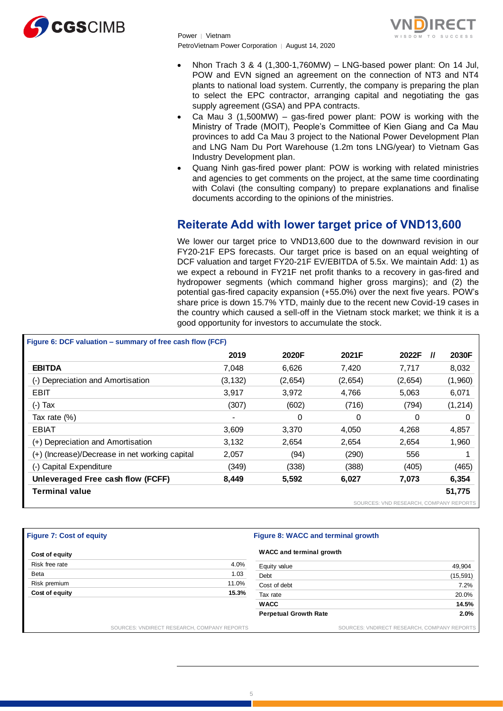



- Nhon Trach 3 & 4 (1,300-1,760MW) LNG-based power plant: On 14 Jul, POW and EVN signed an agreement on the connection of NT3 and NT4 plants to national load system. Currently, the company is preparing the plan to select the EPC contractor, arranging capital and negotiating the gas supply agreement (GSA) and PPA contracts.
- Ca Mau 3 (1,500MW) gas-fired power plant: POW is working with the Ministry of Trade (MOIT), People's Committee of Kien Giang and Ca Mau provinces to add Ca Mau 3 project to the National Power Development Plan and LNG Nam Du Port Warehouse (1.2m tons LNG/year) to Vietnam Gas Industry Development plan.
- Quang Ninh gas-fired power plant: POW is working with related ministries and agencies to get comments on the project, at the same time coordinating with Colavi (the consulting company) to prepare explanations and finalise documents according to the opinions of the ministries.

# **Reiterate Add with lower target price of VND13,600**

We lower our target price to VND13,600 due to the downward revision in our FY20-21F EPS forecasts. Our target price is based on an equal weighting of DCF valuation and target FY20-21F EV/EBITDA of 5.5x. We maintain Add: 1) as we expect a rebound in FY21F net profit thanks to a recovery in gas-fired and hydropower segments (which command higher gross margins); and (2) the potential gas-fired capacity expansion (+55.0%) over the next five years. POW's share price is down 15.7% YTD, mainly due to the recent new Covid-19 cases in good opportunity for investors to accumulate the stock.

|                                                           |                | the country which caused a sell-off in the Vietnam stock market; we think it is a<br>good opportunity for investors to accumulate the stock. |         |                                        |          |  |  |  |  |
|-----------------------------------------------------------|----------------|----------------------------------------------------------------------------------------------------------------------------------------------|---------|----------------------------------------|----------|--|--|--|--|
| Figure 6: DCF valuation – summary of free cash flow (FCF) |                |                                                                                                                                              |         |                                        |          |  |  |  |  |
|                                                           | 2019           | 2020F                                                                                                                                        | 2021F   | 2022F<br>$^{\prime\prime}$             | 2030F    |  |  |  |  |
| <b>EBITDA</b>                                             | 7,048          | 6,626                                                                                                                                        | 7,420   | 7,717                                  | 8,032    |  |  |  |  |
| (-) Depreciation and Amortisation                         | (3, 132)       | (2,654)                                                                                                                                      | (2,654) | (2,654)                                | (1,960)  |  |  |  |  |
| <b>EBIT</b>                                               | 3,917          | 3,972                                                                                                                                        | 4,766   | 5,063                                  | 6,071    |  |  |  |  |
| $(-)$ Tax                                                 | (307)          | (602)                                                                                                                                        | (716)   | (794)                                  | (1, 214) |  |  |  |  |
| Tax rate (%)                                              | $\blacksquare$ | 0                                                                                                                                            | 0       | 0                                      | 0        |  |  |  |  |
| <b>EBIAT</b>                                              | 3,609          | 3,370                                                                                                                                        | 4,050   | 4,268                                  | 4,857    |  |  |  |  |
| (+) Depreciation and Amortisation                         | 3,132          | 2,654                                                                                                                                        | 2,654   | 2,654                                  | 1,960    |  |  |  |  |
| (+) (Increase)/Decrease in net working capital            | 2,057          | (94)                                                                                                                                         | (290)   | 556                                    |          |  |  |  |  |
| (-) Capital Expenditure                                   | (349)          | (338)                                                                                                                                        | (388)   | (405)                                  | (465)    |  |  |  |  |
| Unleveraged Free cash flow (FCFF)                         | 8,449          | 5,592                                                                                                                                        | 6,027   | 7,073                                  | 6,354    |  |  |  |  |
| Terminal value                                            |                |                                                                                                                                              |         |                                        | 51,775   |  |  |  |  |
|                                                           |                |                                                                                                                                              |         | SOURCES: VND RESEARCH, COMPANY REPORTS |          |  |  |  |  |

#### **Figure 7: Cost of equity Figure 8: WACC and terminal growth**

| Cost of equity |                                             | WACC and terminal growth     |                                             |
|----------------|---------------------------------------------|------------------------------|---------------------------------------------|
| Risk free rate | 4.0%                                        | Equity value                 | 49,904                                      |
| Beta           | 1.03                                        | Debt                         | (15, 591)                                   |
| Risk premium   | 11.0%                                       | Cost of debt                 | 7.2%                                        |
| Cost of equity | 15.3%                                       | Tax rate                     | 20.0%                                       |
|                |                                             | <b>WACC</b>                  | 14.5%                                       |
|                |                                             | <b>Perpetual Growth Rate</b> | 2.0%                                        |
|                | SOURCES: VNDIRECT RESEARCH, COMPANY REPORTS |                              | SOURCES: VNDIRECT RESEARCH, COMPANY REPORTS |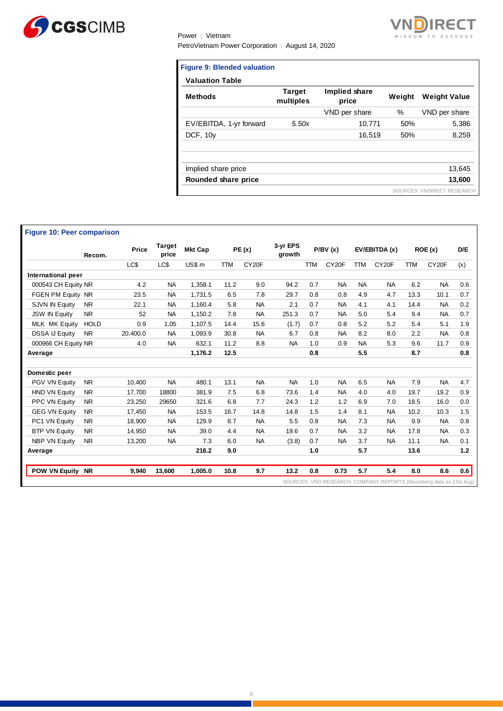



| <b>Figure 9: Blended valuation</b> |                            |                        |        |                            |
|------------------------------------|----------------------------|------------------------|--------|----------------------------|
| <b>Valuation Table</b>             |                            |                        |        |                            |
| <b>Methods</b>                     | <b>Target</b><br>multiples | Implied share<br>price | Weight | <b>Weight Value</b>        |
|                                    |                            | VND per share          | %      | VND per share              |
| EV/EBITDA, 1-yr forward            | 5.50x                      | 10,771                 | 50%    | 5,386                      |
| DCF, 10y                           |                            | 16,519                 | 50%    | 8,259                      |
| Implied share price                |                            |                        |        | 13,645                     |
| Rounded share price                |                            |                        |        | 13,600                     |
|                                    |                            |                        |        | SOURCES: VNDIRECT RESEARCH |

|                       | Recom.      | Price    | <b>Target</b><br>price | <b>Mkt Cap</b> |            | PE(x)              | 3-yr EPS<br>growth |            | P/BV(x)            |            | EV/EBITDA (x)      |            | ROE(x)             | D/E |
|-----------------------|-------------|----------|------------------------|----------------|------------|--------------------|--------------------|------------|--------------------|------------|--------------------|------------|--------------------|-----|
|                       |             | LC\$     | LC\$                   | US\$ m         | <b>TTM</b> | CY <sub>20</sub> F |                    | <b>TTM</b> | CY <sub>20</sub> F | <b>TTM</b> | CY <sub>20</sub> F | <b>TTM</b> | CY <sub>20</sub> F | (x) |
| International peer    |             |          |                        |                |            |                    |                    |            |                    |            |                    |            |                    |     |
| 000543 CH Equity NR   |             | 4.2      | <b>NA</b>              | 1,358.1        | 11.2       | 9.0                | 94.2               | 0.7        | <b>NA</b>          | <b>NA</b>  | <b>NA</b>          | 6.2        | <b>NA</b>          | 0.6 |
| FGEN PM Equity NR     |             | 23.5     | <b>NA</b>              | 1,731.5        | 6.5        | 7.8                | 29.7               | 0.8        | 0.8                | 4.9        | 4.7                | 13.3       | 10.1               | 0.7 |
| SJVN IN Equity        | <b>NR</b>   | 22.1     | <b>NA</b>              | 1,160.4        | 5.8        | <b>NA</b>          | 2.1                | 0.7        | <b>NA</b>          | 4.1        | 4.1                | 14.4       | <b>NA</b>          | 0.2 |
| <b>JSW IN Equity</b>  | <b>NR</b>   | 52       | <b>NA</b>              | 1,150.2        | 7.8        | <b>NA</b>          | 251.3              | 0.7        | <b>NA</b>          | 5.0        | 5.4                | 9.4        | <b>NA</b>          | 0.7 |
| <b>MLK MK Equity</b>  | <b>HOLD</b> | 0.9      | 1.05                   | 1,107.5        | 14.4       | 15.6               | (1.7)              | 0.7        | 0.8                | 5.2        | 5.2                | 5.4        | 5.1                | 1.9 |
| <b>DSSA IJ Equity</b> | <b>NR</b>   | 20,400.0 | <b>NA</b>              | 1,093.9        | 30.8       | <b>NA</b>          | 6.7                | 0.8        | <b>NA</b>          | 8.2        | 8.0                | 2.2        | <b>NA</b>          | 0.8 |
| 000966 CH Equity NR   |             | 4.0      | <b>NA</b>              | 632.1          | 11.2       | 8.8                | <b>NA</b>          | 1.0        | 0.9                | <b>NA</b>  | 5.3                | 9.6        | 11.7               | 0.9 |
| Average               |             |          |                        | 1,176.2        | 12.5       |                    |                    | 0.8        |                    | 5.5        |                    | 8.7        |                    | 0.8 |
| Domestic peer         |             |          |                        |                |            |                    |                    |            |                    |            |                    |            |                    |     |
| PGV VN Equity         | <b>NR</b>   | 10.400   | <b>NA</b>              | 480.1          | 13.1       | <b>NA</b>          | <b>NA</b>          | 1.0        | <b>NA</b>          | 6.5        | <b>NA</b>          | 7.9        | <b>NA</b>          | 4.7 |
| <b>HND VN Equity</b>  | <b>NR</b>   | 17,700   | 18800                  | 381.9          | 7.5        | 6.8                | 73.6               | 1.4        | <b>NA</b>          | 4.0        | 4.0                | 19.7       | 19.2               | 0.9 |
| PPC VN Equity         | <b>NR</b>   | 23,250   | 29650                  | 321.6          | 6.8        | 7.7                | 24.3               | 1.2        | 1.2                | 6.9        | 7.0                | 18.5       | 16.0               | 0.0 |
| <b>GEG VN Equity</b>  | <b>NR</b>   | 17,450   | <b>NA</b>              | 153.5          | 16.7       | 14.8               | 14.8               | 1.5        | 1.4                | 8.1        | <b>NA</b>          | 10.2       | 10.3               | 1.5 |
| PC1 VN Equity         | <b>NR</b>   | 18,900   | <b>NA</b>              | 129.9          | 8.7        | <b>NA</b>          | 5.5                | 0.8        | <b>NA</b>          | 7.3        | <b>NA</b>          | 9.9        | <b>NA</b>          | 0.8 |
| <b>BTP VN Equity</b>  | <b>NR</b>   | 14,950   | <b>NA</b>              | 39.0           | 4.4        | <b>NA</b>          | 19.6               | 0.7        | <b>NA</b>          | 3.2        | <b>NA</b>          | 17.8       | <b>NA</b>          | 0.3 |
| <b>NBP VN Equity</b>  | <b>NR</b>   | 13,200   | <b>NA</b>              | 7.3            | 6.0        | <b>NA</b>          | (3.8)              | 0.7        | <b>NA</b>          | 3.7        | <b>NA</b>          | 11.1       | NA.                | 0.1 |
| Average               |             |          |                        | 216.2          | 9.0        |                    |                    | 1.0        |                    | 5.7        |                    | 13.6       |                    | 1.2 |
| POW VN Equity NR      |             | 9.940    | 13,600                 | 1,005.0        | 10.8       | 9.7                | 13.2               | 0.8        | 0.73               | 5.7        | 5.4                | 8.0        | 8.6                | 0.6 |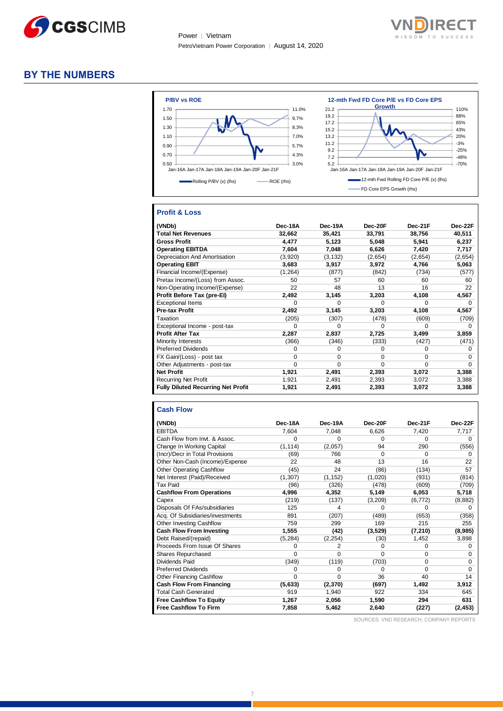



# **BY THE NUMBERS**



# **Profit & Loss**

| (VNDb)                                    | Dec-18A | Dec-19A  | Dec-20F | Dec-21F | Dec-22F |
|-------------------------------------------|---------|----------|---------|---------|---------|
| <b>Total Net Revenues</b>                 | 32,662  | 35,421   | 33,791  | 38,756  | 40,511  |
| <b>Gross Profit</b>                       | 4.477   | 5,123    | 5,048   | 5,941   | 6,237   |
| <b>Operating EBITDA</b>                   | 7,604   | 7,048    | 6,626   | 7,420   | 7,717   |
| Depreciation And Amortisation             | (3,920) | (3, 132) | (2,654) | (2,654) | (2,654) |
| <b>Operating EBIT</b>                     | 3,683   | 3,917    | 3,972   | 4,766   | 5,063   |
| Financial Income/(Expense)                | (1,264) | (877)    | (842)   | (734)   | (577)   |
| Pretax Income/(Loss) from Assoc.          | 50      | 57       | 60      | 60      | 60      |
| Non-Operating Income/(Expense)            | 22      | 48       | 13      | 16      | 22      |
| Profit Before Tax (pre-El)                | 2,492   | 3,145    | 3,203   | 4,108   | 4,567   |
| <b>Exceptional Items</b>                  | U       | O        | 0       | o       | 0       |
| <b>Pre-tax Profit</b>                     | 2.492   | 3,145    | 3,203   | 4,108   | 4,567   |
| Taxation                                  | (205)   | (307)    | (478)   | (609)   | (709)   |
| Exceptional Income - post-tax             | O       | O        | 0       | 0       | o       |
| <b>Profit After Tax</b>                   | 2,287   | 2,837    | 2,725   | 3,499   | 3,859   |
| Minority Interests                        | (366)   | (346)    | (333)   | (427)   | (471)   |
| <b>Preferred Dividends</b>                | 0       | 0        | 0       | 0       | 0       |
| FX Gain/(Loss) - post tax                 | 0       | 0        | 0       | 0       | 0       |
| Other Adjustments - post-tax              | 0       | 0        | 0       | 0       | 0       |
| <b>Net Profit</b>                         | 1,921   | 2,491    | 2,393   | 3,072   | 3,388   |
| <b>Recurring Net Profit</b>               | 1,921   | 2,491    | 2,393   | 3,072   | 3,388   |
| <b>Fully Diluted Recurring Net Profit</b> | 1,921   | 2,491    | 2,393   | 3,072   | 3,388   |

#### **Cash Flow**

| (VNDb)                           | Dec-18A  | Dec-19A  | Dec-20F  | Dec-21F  | Dec-22F  |
|----------------------------------|----------|----------|----------|----------|----------|
| <b>EBITDA</b>                    | 7,604    | 7,048    | 6,626    | 7,420    | 7,717    |
| Cash Flow from Invt. & Assoc.    | 0        | $\Omega$ | 0        | 0        | $\Omega$ |
| Change In Working Capital        | (1, 114) | (2,057)  | 94       | 290      | (556)    |
| (Incr)/Decr in Total Provisions  | (69)     | 766      | 0        | 0        | 0        |
| Other Non-Cash (Income)/Expense  | 22       | 48       | 13       | 16       | 22       |
| Other Operating Cashflow         | (45)     | 24       | (86)     | (134)    | 57       |
| Net Interest (Paid)/Received     | (1, 307) | (1, 152) | (1,020)  | (931)    | (814)    |
| <b>Tax Paid</b>                  | (96)     | (326)    | (478)    | (609)    | (709)    |
| <b>Cashflow From Operations</b>  | 4,996    | 4,352    | 5,149    | 6,053    | 5,718    |
| Capex                            | (219)    | (137)    | (3,209)  | (6, 772) | (8,882)  |
| Disposals Of FAs/subsidiaries    | 125      | 4        | U        | U        | 0        |
| Acq. Of Subsidiaries/investments | 891      | (207)    | (489)    | (653)    | (358)    |
| Other Investing Cashflow         | 759      | 299      | 169      | 215      | 255      |
| <b>Cash Flow From Investing</b>  | 1,555    | (42)     | (3,529)  | (7, 210) | (8,985)  |
| Debt Raised/(repaid)             | (5, 284) | (2, 254) | (30)     | 1,452    | 3,898    |
| Proceeds From Issue Of Shares    | 0        | 2        | 0        | 0        | 0        |
| Shares Repurchased               | 0        | $\Omega$ | O        | 0        | 0        |
| Dividends Paid                   | (349)    | (119)    | (703)    | 0        | 0        |
| <b>Preferred Dividends</b>       | 0        | $\Omega$ | $\Omega$ | 0        | $\Omega$ |
| <b>Other Financing Cashflow</b>  | 0        | $\Omega$ | 36       | 40       | 14       |
| <b>Cash Flow From Financing</b>  | (5,633)  | (2, 370) | (697)    | 1,492    | 3,912    |
| <b>Total Cash Generated</b>      | 919      | 1,940    | 922      | 334      | 645      |
| <b>Free Cashflow To Equity</b>   | 1,267    | 2,056    | 1,590    | 294      | 631      |
| <b>Free Cashflow To Firm</b>     | 7,858    | 5,462    | 2.640    | (227)    | (2, 453) |

SOURCES: VND RESEARCH, COMPANY REPORTS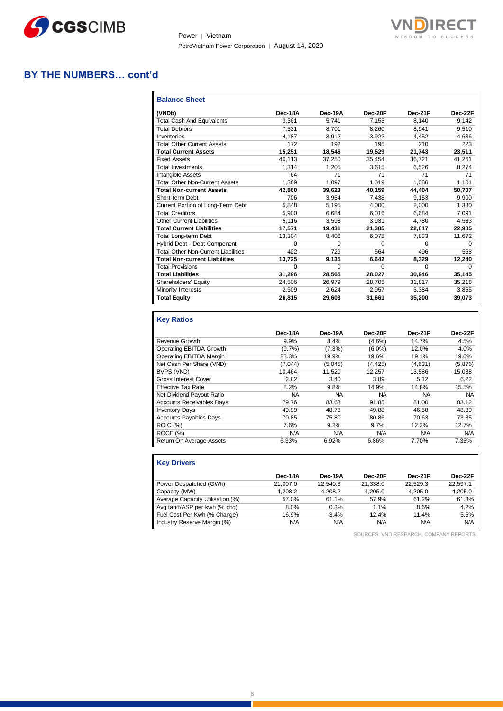



# **BY THE NUMBERS… cont'd**

| <b>Balance Sheet</b>                       |          |          |          |          |          |
|--------------------------------------------|----------|----------|----------|----------|----------|
| (VNDb)                                     | Dec-18A  | Dec-19A  | Dec-20F  | Dec-21F  | Dec-22F  |
| <b>Total Cash And Equivalents</b>          | 3.361    | 5.741    | 7.153    | 8.140    | 9.142    |
| <b>Total Debtors</b>                       | 7.531    | 8.701    | 8.260    | 8.941    | 9,510    |
| Inventories                                | 4.187    | 3,912    | 3,922    | 4.452    | 4,636    |
| <b>Total Other Current Assets</b>          | 172      | 192      | 195      | 210      | 223      |
| <b>Total Current Assets</b>                | 15,251   | 18,546   | 19,529   | 21,743   | 23,511   |
| <b>Fixed Assets</b>                        | 40.113   | 37,250   | 35,454   | 36,721   | 41,261   |
| <b>Total Investments</b>                   | 1.314    | 1.205    | 3.615    | 6,526    | 8,274    |
| Intangible Assets                          | 64       | 71       | 71       | 71       | 71       |
| <b>Total Other Non-Current Assets</b>      | 1.369    | 1.097    | 1.019    | 1.086    | 1.101    |
| <b>Total Non-current Assets</b>            | 42.860   | 39,623   | 40.159   | 44.404   | 50,707   |
| Short-term Debt                            | 706      | 3.954    | 7.438    | 9.153    | 9.900    |
| Current Portion of Long-Term Debt          | 5.848    | 5.195    | 4.000    | 2.000    | 1,330    |
| <b>Total Creditors</b>                     | 5.900    | 6.684    | 6.016    | 6.684    | 7,091    |
| Other Current Liabilities                  | 5.116    | 3.598    | 3.931    | 4.780    | 4.583    |
| <b>Total Current Liabilities</b>           | 17.571   | 19.431   | 21.385   | 22.617   | 22.905   |
| <b>Total Long-term Debt</b>                | 13.304   | 8.406    | 6.078    | 7.833    | 11.672   |
| Hybrid Debt - Debt Component               | 0        | $\Omega$ | $\Omega$ | $\Omega$ | 0        |
| <b>Total Other Non-Current Liabilities</b> | 422      | 729      | 564      | 496      | 568      |
| <b>Total Non-current Liabilities</b>       | 13.725   | 9.135    | 6.642    | 8,329    | 12,240   |
| <b>Total Provisions</b>                    | $\Omega$ | $\Omega$ | $\Omega$ | $\Omega$ | $\Omega$ |
| <b>Total Liabilities</b>                   | 31,296   | 28,565   | 28,027   | 30.946   | 35,145   |
| Shareholders' Equity                       | 24.506   | 26.979   | 28.705   | 31.817   | 35,218   |
| Minority Interests                         | 2.309    | 2,624    | 2,957    | 3,384    | 3,855    |
| <b>Total Equity</b>                        | 26,815   | 29,603   | 31,661   | 35,200   | 39,073   |

# **Key Ratios**

|                                  | Dec-18A    | Dec-19A   | Dec-20F    | Dec-21F    | Dec-22F    |
|----------------------------------|------------|-----------|------------|------------|------------|
| Revenue Growth                   | 9.9%       | 8.4%      | $(4.6\%)$  | 14.7%      | 4.5%       |
| Operating EBITDA Growth          | $(9.7\%)$  | $(7.3\%)$ | $(6.0\%)$  | 12.0%      | 4.0%       |
| Operating EBITDA Margin          | 23.3%      | 19.9%     | 19.6%      | 19.1%      | 19.0%      |
| Net Cash Per Share (VND)         | (7,044)    | (5,045)   | (4, 425)   | (4,631)    | (5,876)    |
| BVPS (VND)                       | 10.464     | 11.520    | 12.257     | 13.586     | 15.038     |
| <b>Gross Interest Cover</b>      | 2.82       | 3.40      | 3.89       | 5.12       | 6.22       |
| <b>Effective Tax Rate</b>        | 8.2%       | 9.8%      | 14.9%      | 14.8%      | 15.5%      |
| Net Dividend Payout Ratio        | <b>NA</b>  | <b>NA</b> | <b>NA</b>  | NA         | NA.        |
| <b>Accounts Receivables Davs</b> | 79.76      | 83.63     | 91.85      | 81.00      | 83.12      |
| <b>Inventory Days</b>            | 49.99      | 48.78     | 49.88      | 46.58      | 48.39      |
| <b>Accounts Payables Days</b>    | 70.85      | 75.80     | 80.86      | 70.63      | 73.35      |
| <b>ROIC (%)</b>                  | 7.6%       | 9.2%      | 9.7%       | 12.2%      | 12.7%      |
| ROCE (%)                         | <b>N/A</b> | N/A       | <b>N/A</b> | <b>N/A</b> | <b>N/A</b> |
| Return On Average Assets         | 6.33%      | 6.92%     | 6.86%      | 7.70%      | 7.33%      |

## **Key Drivers**

|                                  | Dec-18A  | Dec-19A  | Dec-20F  | Dec-21F    | Dec-22F    |
|----------------------------------|----------|----------|----------|------------|------------|
| Power Despatched (GWh)           | 21.007.0 | 22.540.3 | 21.338.0 | 22.529.3   | 22.597.1   |
| Capacity (MW)                    | 4.208.2  | 4.208.2  | 4.205.0  | 4.205.0    | 4.205.0    |
| Average Capacity Utilisation (%) | 57.0%    | 61.1%    | 57.9%    | 61.2%      | 61.3%      |
| Avg tariff/ASP per kwh (% chg)   | 8.0%     | 0.3%     | 1.1%     | 8.6%       | 4.2%       |
| Fuel Cost Per Kwh (% Change)     | 16.9%    | $-3.4%$  | 12.4%    | 11.4%      | 5.5%       |
| Industry Reserve Margin (%)      | N/A      | N/A      | N/A      | <b>N/A</b> | <b>N/A</b> |

SOURCES: VND RESEARCH, COMPANY REPORTS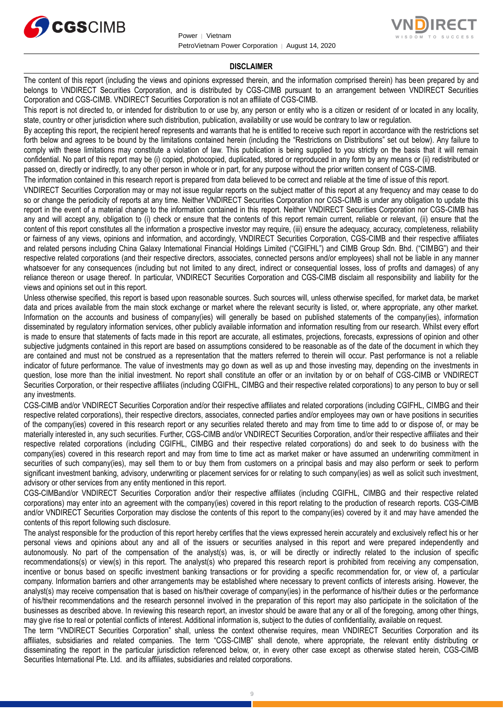



#### **DISCLAIMER**

The content of this report (including the views and opinions expressed therein, and the information comprised therein) has been prepared by and belongs to VNDIRECT Securities Corporation, and is distributed by CGS-CIMB pursuant to an arrangement between VNDIRECT Securities Corporation and CGS-CIMB. VNDIRECT Securities Corporation is not an affiliate of CGS-CIMB.

This report is not directed to, or intended for distribution to or use by, any person or entity who is a citizen or resident of or located in any locality, state, country or other jurisdiction where such distribution, publication, availability or use would be contrary to law or regulation.

By accepting this report, the recipient hereof represents and warrants that he is entitled to receive such report in accordance with the restrictions set forth below and agrees to be bound by the limitations contained herein (including the "Restrictions on Distributions" set out below). Any failure to comply with these limitations may constitute a violation of law. This publication is being supplied to you strictly on the basis that it will remain confidential. No part of this report may be (i) copied, photocopied, duplicated, stored or reproduced in any form by any means or (ii) redistributed or passed on, directly or indirectly, to any other person in whole or in part, for any purpose without the prior written consent of CGS-CIMB.

The information contained in this research report is prepared from data believed to be correct and reliable at the time of issue of this report.

VNDIRECT Securities Corporation may or may not issue regular reports on the subject matter of this report at any frequency and may cease to do so or change the periodicity of reports at any time. Neither VNDIRECT Securities Corporation nor CGS-CIMB is under any obligation to update this report in the event of a material change to the information contained in this report. Neither VNDIRECT Securities Corporation nor CGS-CIMB has any and will accept any, obligation to (i) check or ensure that the contents of this report remain current, reliable or relevant, (ii) ensure that the content of this report constitutes all the information a prospective investor may require, (iii) ensure the adequacy, accuracy, completeness, reliability or fairness of any views, opinions and information, and accordingly, VNDIRECT Securities Corporation, CGS-CIMB and their respective affiliates and related persons including China Galaxy International Financial Holdings Limited ("CGIFHL") and CIMB Group Sdn. Bhd. ("CIMBG") and their respective related corporations (and their respective directors, associates, connected persons and/or employees) shall not be liable in any manner whatsoever for any consequences (including but not limited to any direct, indirect or consequential losses, loss of profits and damages) of any reliance thereon or usage thereof. In particular, VNDIRECT Securities Corporation and CGS-CIMB disclaim all responsibility and liability for the views and opinions set out in this report.

Unless otherwise specified, this report is based upon reasonable sources. Such sources will, unless otherwise specified, for market data, be market data and prices available from the main stock exchange or market where the relevant security is listed, or, where appropriate, any other market. Information on the accounts and business of company(ies) will generally be based on published statements of the company(ies), information disseminated by regulatory information services, other publicly available information and information resulting from our research. Whilst every effort is made to ensure that statements of facts made in this report are accurate, all estimates, projections, forecasts, expressions of opinion and other subjective judgments contained in this report are based on assumptions considered to be reasonable as of the date of the document in which they are contained and must not be construed as a representation that the matters referred to therein will occur. Past performance is not a reliable indicator of future performance. The value of investments may go down as well as up and those investing may, depending on the investments in question, lose more than the initial investment. No report shall constitute an offer or an invitation by or on behalf of CGS-CIMB or VNDIRECT Securities Corporation, or their respective affiliates (including CGIFHL, CIMBG and their respective related corporations) to any person to buy or sell any investments.

CGS-CIMB and/or VNDIRECT Securities Corporation and/or their respective affiliates and related corporations (including CGIFHL, CIMBG and their respective related corporations), their respective directors, associates, connected parties and/or employees may own or have positions in securities of the company(ies) covered in this research report or any securities related thereto and may from time to time add to or dispose of, or may be materially interested in, any such securities. Further, CGS-CIMB and/or VNDIRECT Securities Corporation, and/or their respective affiliates and their respective related corporations (including CGIFHL, CIMBG and their respective related corporations) do and seek to do business with the company(ies) covered in this research report and may from time to time act as market maker or have assumed an underwriting commitment in securities of such company(ies), may sell them to or buy them from customers on a principal basis and may also perform or seek to perform significant investment banking, advisory, underwriting or placement services for or relating to such company(ies) as well as solicit such investment, advisory or other services from any entity mentioned in this report.

CGS-CIMBand/or VNDIRECT Securities Corporation and/or their respective affiliates (including CGIFHL, CIMBG and their respective related corporations) may enter into an agreement with the company(ies) covered in this report relating to the production of research reports. CGS-CIMB and/or VNDIRECT Securities Corporation may disclose the contents of this report to the company(ies) covered by it and may have amended the contents of this report following such disclosure.

The analyst responsible for the production of this report hereby certifies that the views expressed herein accurately and exclusively reflect his or her personal views and opinions about any and all of the issuers or securities analysed in this report and were prepared independently and autonomously. No part of the compensation of the analyst(s) was, is, or will be directly or indirectly related to the inclusion of specific recommendations(s) or view(s) in this report. The analyst(s) who prepared this research report is prohibited from receiving any compensation, incentive or bonus based on specific investment banking transactions or for providing a specific recommendation for, or view of, a particular company. Information barriers and other arrangements may be established where necessary to prevent conflicts of interests arising. However, the analyst(s) may receive compensation that is based on his/their coverage of company(ies) in the performance of his/their duties or the performance of his/their recommendations and the research personnel involved in the preparation of this report may also participate in the solicitation of the businesses as described above. In reviewing this research report, an investor should be aware that any or all of the foregoing, among other things, may give rise to real or potential conflicts of interest. Additional information is, subject to the duties of confidentiality, available on request.

The term "VNDIRECT Securities Corporation" shall, unless the context otherwise requires, mean VNDIRECT Securities Corporation and its affiliates, subsidiaries and related companies. The term "CGS-CIMB" shall denote, where appropriate, the relevant entity distributing or disseminating the report in the particular jurisdiction referenced below, or, in every other case except as otherwise stated herein, CGS-CIMB Securities International Pte. Ltd. and its affiliates, subsidiaries and related corporations.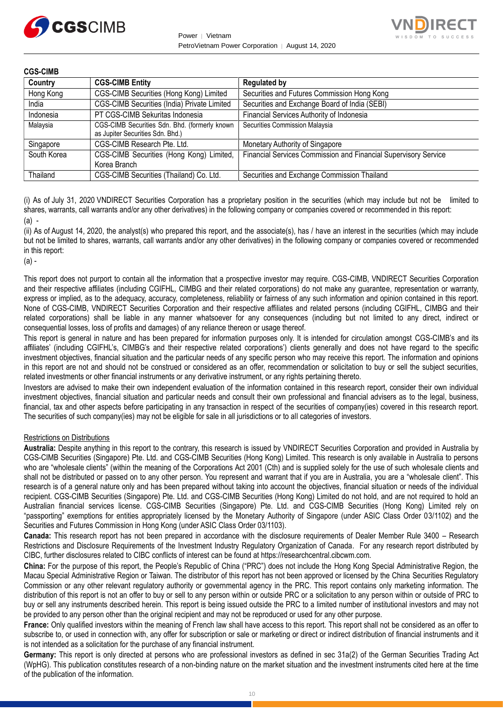



| <b>CGS-CIMB</b> |                                                                                   |                                                                 |
|-----------------|-----------------------------------------------------------------------------------|-----------------------------------------------------------------|
| Country         | <b>CGS-CIMB Entity</b>                                                            | <b>Regulated by</b>                                             |
| Hong Kong       | CGS-CIMB Securities (Hong Kong) Limited                                           | Securities and Futures Commission Hong Kong                     |
| India           | CGS-CIMB Securities (India) Private Limited                                       | Securities and Exchange Board of India (SEBI)                   |
| Indonesia       | PT CGS-CIMB Sekuritas Indonesia                                                   | Financial Services Authority of Indonesia                       |
| Malaysia        | CGS-CIMB Securities Sdn. Bhd. (formerly known<br>as Jupiter Securities Sdn. Bhd.) | Securities Commission Malaysia                                  |
| Singapore       | CGS-CIMB Research Pte. Ltd.                                                       | Monetary Authority of Singapore                                 |
| South Korea     | CGS-CIMB Securities (Hong Kong) Limited,                                          | Financial Services Commission and Financial Supervisory Service |
|                 | Korea Branch                                                                      |                                                                 |
| Thailand        | CGS-CIMB Securities (Thailand) Co. Ltd.                                           | Securities and Exchange Commission Thailand                     |

(i) As of July 31, 2020 VNDIRECT Securities Corporation has a proprietary position in the securities (which may include but not be limited to shares, warrants, call warrants and/or any other derivatives) in the following company or companies covered or recommended in this report: (a) -

(ii) As of August 14, 2020, the analyst(s) who prepared this report, and the associate(s), has / have an interest in the securities (which may include but not be limited to shares, warrants, call warrants and/or any other derivatives) in the following company or companies covered or recommended in this report:

 $(a)$  -

This report does not purport to contain all the information that a prospective investor may require. CGS-CIMB, VNDIRECT Securities Corporation and their respective affiliates (including CGIFHL, CIMBG and their related corporations) do not make any guarantee, representation or warranty, express or implied, as to the adequacy, accuracy, completeness, reliability or fairness of any such information and opinion contained in this report. None of CGS-CIMB, VNDIRECT Securities Corporation and their respective affiliates and related persons (including CGIFHL, CIMBG and their related corporations) shall be liable in any manner whatsoever for any consequences (including but not limited to any direct, indirect or consequential losses, loss of profits and damages) of any reliance thereon or usage thereof.

This report is general in nature and has been prepared for information purposes only. It is intended for circulation amongst CGS-CIMB's and its affiliates' (including CGIFHL's, CIMBG's and their respective related corporations') clients generally and does not have regard to the specific investment objectives, financial situation and the particular needs of any specific person who may receive this report. The information and opinions in this report are not and should not be construed or considered as an offer, recommendation or solicitation to buy or sell the subject securities, related investments or other financial instruments or any derivative instrument, or any rights pertaining thereto.

Investors are advised to make their own independent evaluation of the information contained in this research report, consider their own individual investment objectives, financial situation and particular needs and consult their own professional and financial advisers as to the legal, business, financial, tax and other aspects before participating in any transaction in respect of the securities of company(ies) covered in this research report. The securities of such company(ies) may not be eligible for sale in all jurisdictions or to all categories of investors.

# Restrictions on Distributions

**Australia:** Despite anything in this report to the contrary, this research is issued by VNDIRECT Securities Corporation and provided in Australia by CGS-CIMB Securities (Singapore) Pte. Ltd. and CGS-CIMB Securities (Hong Kong) Limited. This research is only available in Australia to persons who are "wholesale clients" (within the meaning of the Corporations Act 2001 (Cth) and is supplied solely for the use of such wholesale clients and shall not be distributed or passed on to any other person. You represent and warrant that if you are in Australia, you are a "wholesale client". This research is of a general nature only and has been prepared without taking into account the objectives, financial situation or needs of the individual recipient. CGS-CIMB Securities (Singapore) Pte. Ltd. and CGS-CIMB Securities (Hong Kong) Limited do not hold, and are not required to hold an Australian financial services license. CGS-CIMB Securities (Singapore) Pte. Ltd. and CGS-CIMB Securities (Hong Kong) Limited rely on "passporting" exemptions for entities appropriately licensed by the Monetary Authority of Singapore (under ASIC Class Order 03/1102) and the Securities and Futures Commission in Hong Kong (under ASIC Class Order 03/1103).

**Canada:** This research report has not been prepared in accordance with the disclosure requirements of Dealer Member Rule 3400 – Research Restrictions and Disclosure Requirements of the Investment Industry Regulatory Organization of Canada. For any research report distributed by CIBC, further disclosures related to CIBC conflicts of interest can be found at https://researchcentral.cibcwm.com.

**China:** For the purpose of this report, the People's Republic of China ("PRC") does not include the Hong Kong Special Administrative Region, the Macau Special Administrative Region or Taiwan. The distributor of this report has not been approved or licensed by the China Securities Regulatory Commission or any other relevant regulatory authority or governmental agency in the PRC. This report contains only marketing information. The distribution of this report is not an offer to buy or sell to any person within or outside PRC or a solicitation to any person within or outside of PRC to buy or sell any instruments described herein. This report is being issued outside the PRC to a limited number of institutional investors and may not be provided to any person other than the original recipient and may not be reproduced or used for any other purpose.

**France:** Only qualified investors within the meaning of French law shall have access to this report. This report shall not be considered as an offer to subscribe to, or used in connection with, any offer for subscription or sale or marketing or direct or indirect distribution of financial instruments and it is not intended as a solicitation for the purchase of any financial instrument.

Germany: This report is only directed at persons who are professional investors as defined in sec 31a(2) of the German Securities Trading Act (WpHG). This publication constitutes research of a non-binding nature on the market situation and the investment instruments cited here at the time of the publication of the information.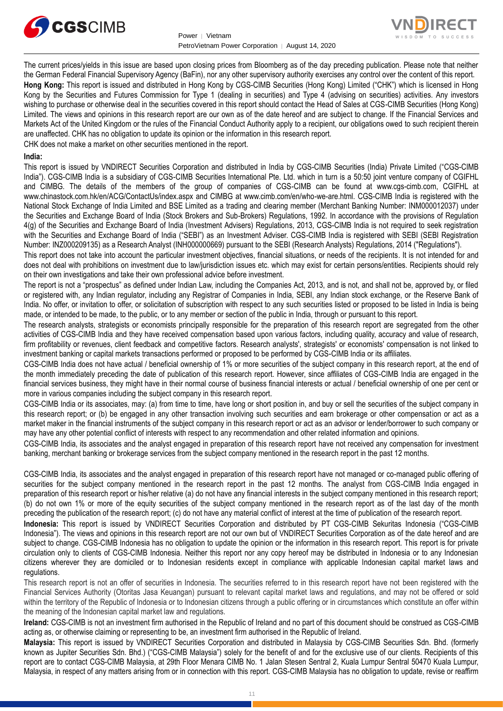



The current prices/yields in this issue are based upon closing prices from Bloomberg as of the day preceding publication. Please note that neither the German Federal Financial Supervisory Agency (BaFin), nor any other supervisory authority exercises any control over the content of this report. **Hong Kong:** This report is issued and distributed in Hong Kong by CGS-CIMB Securities (Hong Kong) Limited ("CHK") which is licensed in Hong Kong by the Securities and Futures Commission for Type 1 (dealing in securities) and Type 4 (advising on securities) activities. Any investors wishing to purchase or otherwise deal in the securities covered in this report should contact the Head of Sales at CGS-CIMB Securities (Hong Kong) Limited. The views and opinions in this research report are our own as of the date hereof and are subject to change. If the Financial Services and Markets Act of the United Kingdom or the rules of the Financial Conduct Authority apply to a recipient, our obligations owed to such recipient therein are unaffected. CHK has no obligation to update its opinion or the information in this research report.

CHK does not make a market on other securities mentioned in the report.

#### **India:**

This report is issued by VNDIRECT Securities Corporation and distributed in India by CGS-CIMB Securities (India) Private Limited ("CGS-CIMB India"). CGS-CIMB India is a subsidiary of CGS-CIMB Securities International Pte. Ltd. which in turn is a 50:50 joint venture company of CGIFHL and CIMBG. The details of the members of the group of companies of CGS-CIMB can be found at www.cgs-cimb.com, CGIFHL at www.chinastock.com.hk/en/ACG/ContactUs/index.aspx and CIMBG at www.cimb.com/en/who-we-are.html. CGS-CIMB India is registered with the National Stock Exchange of India Limited and BSE Limited as a trading and clearing member (Merchant Banking Number: INM000012037) under the Securities and Exchange Board of India (Stock Brokers and Sub-Brokers) Regulations, 1992. In accordance with the provisions of Regulation 4(g) of the Securities and Exchange Board of India (Investment Advisers) Regulations, 2013, CGS-CIMB India is not required to seek registration with the Securities and Exchange Board of India ("SEBI") as an Investment Adviser. CGS-CIMB India is registered with SEBI (SEBI Registration Number: INZ000209135) as a Research Analyst (INH000000669) pursuant to the SEBI (Research Analysts) Regulations, 2014 ("Regulations").

This report does not take into account the particular investment objectives, financial situations, or needs of the recipients. It is not intended for and does not deal with prohibitions on investment due to law/jurisdiction issues etc. which may exist for certain persons/entities. Recipients should rely on their own investigations and take their own professional advice before investment.

The report is not a "prospectus" as defined under Indian Law, including the Companies Act, 2013, and is not, and shall not be, approved by, or filed or registered with, any Indian regulator, including any Registrar of Companies in India, SEBI, any Indian stock exchange, or the Reserve Bank of India. No offer, or invitation to offer, or solicitation of subscription with respect to any such securities listed or proposed to be listed in India is being made, or intended to be made, to the public, or to any member or section of the public in India, through or pursuant to this report.

The research analysts, strategists or economists principally responsible for the preparation of this research report are segregated from the other activities of CGS-CIMB India and they have received compensation based upon various factors, including quality, accuracy and value of research, firm profitability or revenues, client feedback and competitive factors. Research analysts', strategists' or economists' compensation is not linked to investment banking or capital markets transactions performed or proposed to be performed by CGS-CIMB India or its affiliates.

CGS-CIMB India does not have actual / beneficial ownership of 1% or more securities of the subject company in this research report, at the end of the month immediately preceding the date of publication of this research report. However, since affiliates of CGS-CIMB India are engaged in the financial services business, they might have in their normal course of business financial interests or actual / beneficial ownership of one per cent or more in various companies including the subject company in this research report.

CGS-CIMB India or its associates, may: (a) from time to time, have long or short position in, and buy or sell the securities of the subject company in this research report; or (b) be engaged in any other transaction involving such securities and earn brokerage or other compensation or act as a market maker in the financial instruments of the subject company in this research report or act as an advisor or lender/borrower to such company or may have any other potential conflict of interests with respect to any recommendation and other related information and opinions.

CGS-CIMB India, its associates and the analyst engaged in preparation of this research report have not received any compensation for investment banking, merchant banking or brokerage services from the subject company mentioned in the research report in the past 12 months.

CGS-CIMB India, its associates and the analyst engaged in preparation of this research report have not managed or co-managed public offering of securities for the subject company mentioned in the research report in the past 12 months. The analyst from CGS-CIMB India engaged in preparation of this research report or his/her relative (a) do not have any financial interests in the subject company mentioned in this research report; (b) do not own 1% or more of the equity securities of the subject company mentioned in the research report as of the last day of the month preceding the publication of the research report; (c) do not have any material conflict of interest at the time of publication of the research report.

**Indonesia:** This report is issued by VNDIRECT Securities Corporation and distributed by PT CGS-CIMB Sekuritas Indonesia ("CGS-CIMB Indonesia"). The views and opinions in this research report are not our own but of VNDIRECT Securities Corporation as of the date hereof and are subject to change. CGS-CIMB Indonesia has no obligation to update the opinion or the information in this research report. This report is for private circulation only to clients of CGS-CIMB Indonesia. Neither this report nor any copy hereof may be distributed in Indonesia or to any Indonesian citizens wherever they are domiciled or to Indonesian residents except in compliance with applicable Indonesian capital market laws and regulations.

This research report is not an offer of securities in Indonesia. The securities referred to in this research report have not been registered with the Financial Services Authority (Otoritas Jasa Keuangan) pursuant to relevant capital market laws and regulations, and may not be offered or sold within the territory of the Republic of Indonesia or to Indonesian citizens through a public offering or in circumstances which constitute an offer within the meaning of the Indonesian capital market law and regulations.

**Ireland:** CGS-CIMB is not an investment firm authorised in the Republic of Ireland and no part of this document should be construed as CGS-CIMB acting as, or otherwise claiming or representing to be, an investment firm authorised in the Republic of Ireland.

**Malaysia:** This report is issued by VNDIRECT Securities Corporation and distributed in Malaysia by CGS-CIMB Securities Sdn. Bhd. (formerly known as Jupiter Securities Sdn. Bhd.) ("CGS-CIMB Malaysia") solely for the benefit of and for the exclusive use of our clients. Recipients of this report are to contact CGS-CIMB Malaysia, at 29th Floor Menara CIMB No. 1 Jalan Stesen Sentral 2, Kuala Lumpur Sentral 50470 Kuala Lumpur, Malaysia, in respect of any matters arising from or in connection with this report. CGS-CIMB Malaysia has no obligation to update, revise or reaffirm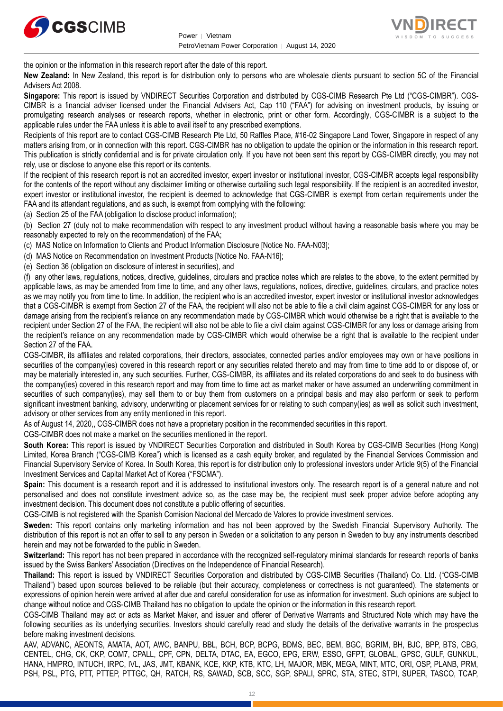



the opinion or the information in this research report after the date of this report.

**New Zealand:** In New Zealand, this report is for distribution only to persons who are wholesale clients pursuant to section 5C of the Financial Advisers Act 2008.

**Singapore:** This report is issued by VNDIRECT Securities Corporation and distributed by CGS-CIMB Research Pte Ltd ("CGS-CIMBR"). CGS-CIMBR is a financial adviser licensed under the Financial Advisers Act, Cap 110 ("FAA") for advising on investment products, by issuing or promulgating research analyses or research reports, whether in electronic, print or other form. Accordingly, CGS-CIMBR is a subject to the applicable rules under the FAA unless it is able to avail itself to any prescribed exemptions.

Recipients of this report are to contact CGS-CIMB Research Pte Ltd, 50 Raffles Place, #16-02 Singapore Land Tower, Singapore in respect of any matters arising from, or in connection with this report. CGS-CIMBR has no obligation to update the opinion or the information in this research report. This publication is strictly confidential and is for private circulation only. If you have not been sent this report by CGS-CIMBR directly, you may not rely, use or disclose to anyone else this report or its contents.

If the recipient of this research report is not an accredited investor, expert investor or institutional investor, CGS-CIMBR accepts legal responsibility for the contents of the report without any disclaimer limiting or otherwise curtailing such legal responsibility. If the recipient is an accredited investor, expert investor or institutional investor, the recipient is deemed to acknowledge that CGS-CIMBR is exempt from certain requirements under the FAA and its attendant regulations, and as such, is exempt from complying with the following:

(a) Section 25 of the FAA (obligation to disclose product information);

(b) Section 27 (duty not to make recommendation with respect to any investment product without having a reasonable basis where you may be reasonably expected to rely on the recommendation) of the FAA;

(c) MAS Notice on Information to Clients and Product Information Disclosure [Notice No. FAA-N03];

(d) MAS Notice on Recommendation on Investment Products [Notice No. FAA-N16];

(e) Section 36 (obligation on disclosure of interest in securities), and

(f) any other laws, regulations, notices, directive, guidelines, circulars and practice notes which are relates to the above, to the extent permitted by applicable laws, as may be amended from time to time, and any other laws, regulations, notices, directive, guidelines, circulars, and practice notes as we may notify you from time to time. In addition, the recipient who is an accredited investor, expert investor or institutional investor acknowledges that a CGS-CIMBR is exempt from Section 27 of the FAA, the recipient will also not be able to file a civil claim against CGS-CIMBR for any loss or damage arising from the recipient's reliance on any recommendation made by CGS-CIMBR which would otherwise be a right that is available to the recipient under Section 27 of the FAA, the recipient will also not be able to file a civil claim against CGS-CIMBR for any loss or damage arising from the recipient's reliance on any recommendation made by CGS-CIMBR which would otherwise be a right that is available to the recipient under Section 27 of the FAA.

CGS-CIMBR, its affiliates and related corporations, their directors, associates, connected parties and/or employees may own or have positions in securities of the company(ies) covered in this research report or any securities related thereto and may from time to time add to or dispose of, or may be materially interested in, any such securities. Further, CGS-CIMBR, its affiliates and its related corporations do and seek to do business with the company(ies) covered in this research report and may from time to time act as market maker or have assumed an underwriting commitment in securities of such company(ies), may sell them to or buy them from customers on a principal basis and may also perform or seek to perform significant investment banking, advisory, underwriting or placement services for or relating to such company(ies) as well as solicit such investment, advisory or other services from any entity mentioned in this report.

As of August 14, 2020,, CGS-CIMBR does not have a proprietary position in the recommended securities in this report.

CGS-CIMBR does not make a market on the securities mentioned in the report.

**South Korea:** This report is issued by VNDIRECT Securities Corporation and distributed in South Korea by CGS-CIMB Securities (Hong Kong) Limited, Korea Branch ("CGS-CIMB Korea") which is licensed as a cash equity broker, and regulated by the Financial Services Commission and Financial Supervisory Service of Korea. In South Korea, this report is for distribution only to professional investors under Article 9(5) of the Financial Investment Services and Capital Market Act of Korea ("FSCMA").

**Spain:** This document is a research report and it is addressed to institutional investors only. The research report is of a general nature and not personalised and does not constitute investment advice so, as the case may be, the recipient must seek proper advice before adopting any investment decision. This document does not constitute a public offering of securities.

CGS-CIMB is not registered with the Spanish Comision Nacional del Mercado de Valores to provide investment services.

**Sweden:** This report contains only marketing information and has not been approved by the Swedish Financial Supervisory Authority. The distribution of this report is not an offer to sell to any person in Sweden or a solicitation to any person in Sweden to buy any instruments described herein and may not be forwarded to the public in Sweden.

**Switzerland:** This report has not been prepared in accordance with the recognized self-regulatory minimal standards for research reports of banks issued by the Swiss Bankers' Association (Directives on the Independence of Financial Research).

**Thailand:** This report is issued by VNDIRECT Securities Corporation and distributed by CGS-CIMB Securities (Thailand) Co. Ltd. ("CGS-CIMB Thailand") based upon sources believed to be reliable (but their accuracy, completeness or correctness is not guaranteed). The statements or expressions of opinion herein were arrived at after due and careful consideration for use as information for investment. Such opinions are subject to change without notice and CGS-CIMB Thailand has no obligation to update the opinion or the information in this research report.

CGS-CIMB Thailand may act or acts as Market Maker, and issuer and offerer of Derivative Warrants and Structured Note which may have the following securities as its underlying securities. Investors should carefully read and study the details of the derivative warrants in the prospectus before making investment decisions.

AAV, ADVANC, AEONTS, AMATA, AOT, AWC, BANPU, BBL, BCH, BCP, BCPG, BDMS, BEC, BEM, BGC, BGRIM, BH, BJC, BPP, BTS, CBG, CENTEL, CHG, CK, CKP, COM7, CPALL, CPF, CPN, DELTA, DTAC, EA, EGCO, EPG, ERW, ESSO, GFPT, GLOBAL, GPSC, GULF, GUNKUL, HANA, HMPRO, INTUCH, IRPC, IVL, JAS, JMT, KBANK, KCE, KKP, KTB, KTC, LH, MAJOR, MBK, MEGA, MINT, MTC, ORI, OSP, PLANB, PRM, PSH, PSL, PTG, PTT, PTTEP, PTTGC, QH, RATCH, RS, SAWAD, SCB, SCC, SGP, SPALI, SPRC, STA, STEC, STPI, SUPER, TASCO, TCAP,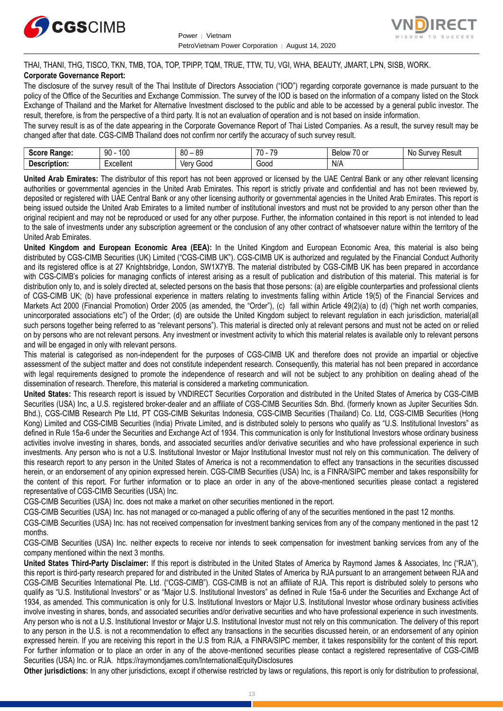



# THAI, THANI, THG, TISCO, TKN, TMB, TOA, TOP, TPIPP, TQM, TRUE, TTW, TU, VGI, WHA, BEAUTY, JMART, LPN, SISB, WORK.

## **Corporate Governance Report:**

The disclosure of the survey result of the Thai Institute of Directors Association ("IOD") regarding corporate governance is made pursuant to the policy of the Office of the Securities and Exchange Commission. The survey of the IOD is based on the information of a company listed on the Stock Exchange of Thailand and the Market for Alternative Investment disclosed to the public and able to be accessed by a general public investor. The result, therefore, is from the perspective of a third party. It is not an evaluation of operation and is not based on inside information.

The survey result is as of the date appearing in the Corporate Governance Report of Thai Listed Companies. As a result, the survey result may be changed after that date. CGS-CIMB Thailand does not confirm nor certify the accuracy of such survey result.

| <b>Range:</b><br>- - - - -      | 100<br>۵n<br>טע<br>ĴU | 89<br>80<br>$\sim$ | 70<br>70<br>.<br>. . | $\sim$ $\sim$<br>Below<br>$\sim$<br>. ט<br>v | : Result<br>N0<br>Jurvey: |
|---------------------------------|-----------------------|--------------------|----------------------|----------------------------------------------|---------------------------|
| -<br><b>Descrip</b><br>ription. | Lyonllont<br>∟∧∪∪แ∪เเ | 000ئ<br>Verv       | Good                 | N/A                                          |                           |

**United Arab Emirates:** The distributor of this report has not been approved or licensed by the UAE Central Bank or any other relevant licensing authorities or governmental agencies in the United Arab Emirates. This report is strictly private and confidential and has not been reviewed by, deposited or registered with UAE Central Bank or any other licensing authority or governmental agencies in the United Arab Emirates. This report is being issued outside the United Arab Emirates to a limited number of institutional investors and must not be provided to any person other than the original recipient and may not be reproduced or used for any other purpose. Further, the information contained in this report is not intended to lead to the sale of investments under any subscription agreement or the conclusion of any other contract of whatsoever nature within the territory of the United Arab Emirates.

**United Kingdom and European Economic Area (EEA):** In the United Kingdom and European Economic Area, this material is also being distributed by CGS-CIMB Securities (UK) Limited ("CGS-CIMB UK"). CGS-CIMB UK is authorized and regulated by the Financial Conduct Authority and its registered office is at 27 Knightsbridge, London, SW1X7YB. The material distributed by CGS-CIMB UK has been prepared in accordance with CGS-CIMB's policies for managing conflicts of interest arising as a result of publication and distribution of this material. This material is for distribution only to, and is solely directed at, selected persons on the basis that those persons: (a) are eligible counterparties and professional clients of CGS-CIMB UK; (b) have professional experience in matters relating to investments falling within Article 19(5) of the Financial Services and Markets Act 2000 (Financial Promotion) Order 2005 (as amended, the "Order"), (c) fall within Article 49(2)(a) to (d) ("high net worth companies, unincorporated associations etc") of the Order; (d) are outside the United Kingdom subject to relevant regulation in each jurisdiction, material(all such persons together being referred to as "relevant persons"). This material is directed only at relevant persons and must not be acted on or relied on by persons who are not relevant persons. Any investment or investment activity to which this material relates is available only to relevant persons and will be engaged in only with relevant persons.

This material is categorised as non-independent for the purposes of CGS-CIMB UK and therefore does not provide an impartial or objective assessment of the subject matter and does not constitute independent research. Consequently, this material has not been prepared in accordance with legal requirements designed to promote the independence of research and will not be subject to any prohibition on dealing ahead of the dissemination of research. Therefore, this material is considered a marketing communication.

**United States:** This research report is issued by VNDIRECT Securities Corporation and distributed in the United States of America by CGS-CIMB Securities (USA) Inc, a U.S. registered broker-dealer and an affiliate of CGS-CIMB Securities Sdn. Bhd. (formerly known as Jupiter Securities Sdn. Bhd.), CGS-CIMB Research Pte Ltd, PT CGS-CIMB Sekuritas Indonesia, CGS-CIMB Securities (Thailand) Co. Ltd, CGS-CIMB Securities (Hong Kong) Limited and CGS-CIMB Securities (India) Private Limited, and is distributed solely to persons who qualify as "U.S. Institutional Investors" as defined in Rule 15a-6 under the Securities and Exchange Act of 1934. This communication is only for Institutional Investors whose ordinary business activities involve investing in shares, bonds, and associated securities and/or derivative securities and who have professional experience in such investments. Any person who is not a U.S. Institutional Investor or Major Institutional Investor must not rely on this communication. The delivery of this research report to any person in the United States of America is not a recommendation to effect any transactions in the securities discussed herein, or an endorsement of any opinion expressed herein. CGS-CIMB Securities (USA) Inc, is a FINRA/SIPC member and takes responsibility for the content of this report. For further information or to place an order in any of the above-mentioned securities please contact a registered representative of CGS-CIMB Securities (USA) Inc.

CGS-CIMB Securities (USA) Inc. does not make a market on other securities mentioned in the report.

CGS-CIMB Securities (USA) Inc. has not managed or co-managed a public offering of any of the securities mentioned in the past 12 months.

CGS-CIMB Securities (USA) Inc. has not received compensation for investment banking services from any of the company mentioned in the past 12 months.

CGS-CIMB Securities (USA) Inc. neither expects to receive nor intends to seek compensation for investment banking services from any of the company mentioned within the next 3 months.

**United States Third-Party Disclaimer:** If this report is distributed in the United States of America by Raymond James & Associates, Inc ("RJA"), this report is third-party research prepared for and distributed in the United States of America by RJA pursuant to an arrangement between RJA and CGS-CIMB Securities International Pte. Ltd. ("CGS-CIMB"). CGS-CIMB is not an affiliate of RJA. This report is distributed solely to persons who qualify as "U.S. Institutional Investors" or as "Major U.S. Institutional Investors" as defined in Rule 15a-6 under the Securities and Exchange Act of 1934, as amended. This communication is only for U.S. Institutional Investors or Major U.S. Institutional Investor whose ordinary business activities involve investing in shares, bonds, and associated securities and/or derivative securities and who have professional experience in such investments. Any person who is not a U.S. Institutional Investor or Major U.S. Institutional Investor must not rely on this communication. The delivery of this report to any person in the U.S. is not a recommendation to effect any transactions in the securities discussed herein, or an endorsement of any opinion expressed herein. If you are receiving this report in the U.S from RJA, a FINRA/SIPC member, it takes responsibility for the content of this report. For further information or to place an order in any of the above-mentioned securities please contact a registered representative of CGS-CIMB Securities (USA) Inc. or RJA.<https://raymondjames.com/InternationalEquityDisclosures>

**Other jurisdictions:** In any other jurisdictions, except if otherwise restricted by laws or regulations, this report is only for distribution to professional,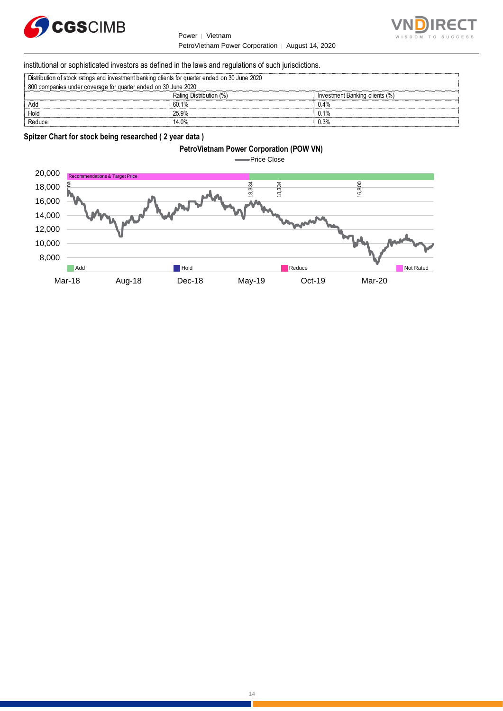



## institutional or sophisticated investors as defined in the laws and regulations of such jurisdictions.

| Distribution of stock ratings and investment banking clients for quarter ended on 30 June 2020 |                         |                                |  |
|------------------------------------------------------------------------------------------------|-------------------------|--------------------------------|--|
| 800 companies under coverage for quarter ended on 30 June 2020                                 |                         |                                |  |
|                                                                                                | Rating Distribution (%) | Investment Banking clients (%) |  |
| Add                                                                                            | 60.1%                   | 0.4%                           |  |
| Hold                                                                                           | 25.9%                   | 0.1%                           |  |
| Reduce                                                                                         | 14.0%                   | ).3%                           |  |

# **Spitzer Chart for stock being researched ( 2 year data )**

# **PetroVietnam Power Corporation (POW VN)**



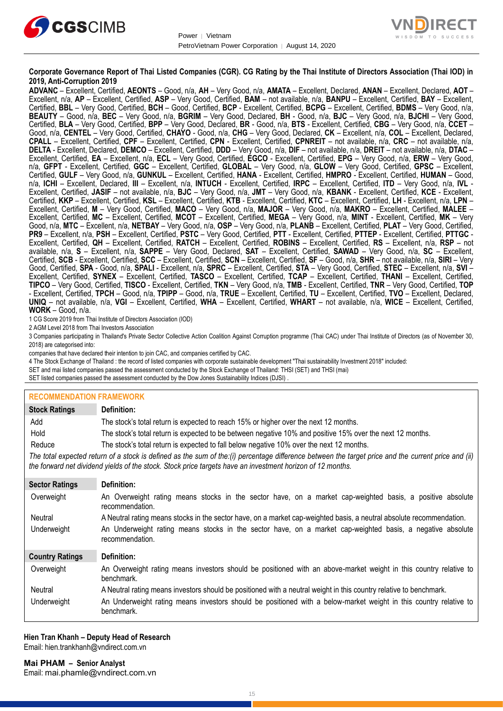



#### **Corporate Governance Report of Thai Listed Companies (CGR). CG Rating by the Thai Institute of Directors Association (Thai IOD) in 2019, Anti-Corruption 2019**

**ADVANC** – Excellent, Certified, **AEONTS** – Good, n/a, **AH** – Very Good, n/a, **AMATA** – Excellent, Declared, **ANAN** – Excellent, Declared, **AOT** – Excellent, n/a, **AP** – Excellent, Certified, **ASP** – Very Good, Certified, **BAM** – not available, n/a, **BANPU** – Excellent, Certified, **BAY** – Excellent, Certified, **BBL** – Very Good, Certified, **BCH** – Good, Certified, **BCP** - Excellent, Certified, **BCPG** – Excellent, Certified, **BDMS** – Very Good, n/a, **BEAUTY** – Good, n/a, **BEC** – Very Good, n/a, **BGRIM** – Very Good, Declared, **BH** - Good, n/a, **BJC** – Very Good, n/a, **BJCHI** – Very Good, Certified, **BLA** – Very Good, Certified, **BPP** – Very Good, Declared, **BR** - Good, n/a, **BTS** - Excellent, Certified, **CBG** – Very Good, n/a, **CCET** – Good, n/a, **CENTEL** – Very Good, Certified, **CHAYO** - Good, n/a, **CHG** – Very Good, Declared, **CK** – Excellent, n/a, **COL** – Excellent, Declared, **CPALL** – Excellent, Certified, **CPF** – Excellent, Certified, **CPN** - Excellent, Certified, **CPNREIT** – not available, n/a, **CRC** – not available, n/a, **DELTA** - Excellent, Declared, **DEMCO** – Excellent, Certified, **DDD** – Very Good, n/a, **DIF** – not available, n/a, **DREIT** – not available, n/a, **DTAC** – Excellent, Certified, **EA** – Excellent, n/a, **ECL** – Very Good, Certified, **EGCO** - Excellent, Certified, **EPG** – Very Good, n/a, **ERW** – Very Good, n/a, **GFPT** - Excellent, Certified, **GGC** – Excellent, Certified, **GLOBAL** – Very Good, n/a, **GLOW** – Very Good, Certified, **GPSC** – Excellent, Certified, **GULF** – Very Good, n/a, **GUNKUL** – Excellent, Certified, **HANA** - Excellent, Certified, **HMPRO** - Excellent, Certified, **HUMAN** – Good, n/a, **ICHI** – Excellent, Declared, **III** – Excellent, n/a, **INTUCH** - Excellent, Certified, **IRPC** – Excellent, Certified, **ITD** – Very Good, n/a, **IVL** - Excellent, Certified, **JASIF** – not available, n/a, **BJC** – Very Good, n/a, **JMT** – Very Good, n/a, **KBANK** - Excellent, Certified, **KCE** - Excellent, Certified, **KKP** – Excellent, Certified, **KSL** – Excellent, Certified, **KTB** - Excellent, Certified, **KTC** – Excellent, Certified, **LH** - Excellent, n/a, **LPN** – Excellent, Certified, **M** – Very Good, Certified, **MACO** – Very Good, n/a, **MAJOR** – Very Good, n/a, **MAKRO** – Excellent, Certified, **MALEE** – Excellent, Certified, **MC** – Excellent, Certified, **MCOT** – Excellent, Certified, **MEGA** – Very Good, n/a, **MINT** - Excellent, Certified, **MK** – Very Good, n/a, **MTC** – Excellent, n/a, **NETBAY** – Very Good, n/a, **OSP** – Very Good, n/a, **PLANB** – Excellent, Certified, **PLAT** – Very Good, Certified, **PR9** – Excellent, n/a, **PSH** – Excellent, Certified, **PSTC** – Very Good, Certified, **PTT** - Excellent, Certified, **PTTEP** - Excellent, Certified, **PTTGC** - Excellent, Certified, **QH** – Excellent, Certified, **RATCH** – Excellent, Certified, **ROBINS** – Excellent, Certified, **RS** – Excellent, n/a, **RSP** – not available, n/a, **S** – Excellent, n/a, **SAPPE** – Very Good, Declared, **SAT** – Excellent, Certified, **SAWAD** – Very Good, n/a, **SC** – Excellent, Certified, **SCB** - Excellent, Certified, **SCC** – Excellent, Certified, **SCN** – Excellent, Certified, **SF** – Good, n/a, **SHR** – not available, n/a, **SIRI** – Very Good, Certified, **SPA** - Good, n/a, **SPALI** - Excellent, n/a, **SPRC** – Excellent, Certified, **STA** – Very Good, Certified, **STEC** – Excellent, n/a, **SVI** – Excellent, Certified, **SYNEX** – Excellent, Certified, **TASCO** – Excellent, Certified, **TCAP** – Excellent, Certified, **THANI** – Excellent, Certified, **TIPCO** – Very Good, Certified, **TISCO** - Excellent, Certified, **TKN** – Very Good, n/a, **TMB** - Excellent, Certified, **TNR** – Very Good, Certified, **TOP** - Excellent, Certified, **TPCH** – Good, n/a, **TPIPP** – Good, n/a, **TRUE** – Excellent, Certified, **TU** – Excellent, Certified, **TVO** – Excellent, Declared, **UNIQ** – not available, n/a, **VGI** – Excellent, Certified, **WHA** – Excellent, Certified, **WHART** – not available, n/a, **WICE** – Excellent, Certified, **WORK** – Good, n/a.

1 CG Score 2019 from Thai Institute of Directors Association (IOD)

2 AGM Level 2018 from Thai Investors Association

3 Companies participating in Thailand's Private Sector Collective Action Coalition Against Corruption programme (Thai CAC) under Thai Institute of Directors (as of November 30, 2018) are categorised into:

companies that have declared their intention to join CAC, and companies certified by CAC.

4 [The Stock Exchange of Thailand : the record of listed companies with corporate sustainable development "Thai sustainability Investment 2018"](http://www.set.or.th/sustainable_dev/en/sr/sri/tsi_p1.html) included:

SET and mai listed companies passed the assessment conducted by the Stock Exchange of Thailand: THSI (SET) and THSI (mai)

SET listed companies passed the assessment conducted by the Dow Jones Sustainability Indices (DJSI)

# **RECOMMENDATION FRAMEWORK**

| <b>Stock Ratings</b>   | Definition:                                                                                                                                                                                                                                                       |
|------------------------|-------------------------------------------------------------------------------------------------------------------------------------------------------------------------------------------------------------------------------------------------------------------|
| Add                    | The stock's total return is expected to reach 15% or higher over the next 12 months.                                                                                                                                                                              |
| Hold                   | The stock's total return is expected to be between negative 10% and positive 15% over the next 12 months.                                                                                                                                                         |
| Reduce                 | The stock's total return is expected to fall below negative 10% over the next 12 months.                                                                                                                                                                          |
|                        | The total expected return of a stock is defined as the sum of the:(i) percentage difference between the target price and the current price and (ii)<br>the forward net dividend yields of the stock. Stock price targets have an investment horizon of 12 months. |
| <b>Sector Ratings</b>  | Definition:                                                                                                                                                                                                                                                       |
| Overweight             | An Overweight rating means stocks in the sector have, on a market cap-weighted basis, a positive absolute<br>recommendation.                                                                                                                                      |
| Neutral                | A Neutral rating means stocks in the sector have, on a market cap-weighted basis, a neutral absolute recommendation.                                                                                                                                              |
| Underweight            | An Underweight rating means stocks in the sector have, on a market cap-weighted basis, a negative absolute<br>recommendation.                                                                                                                                     |
| <b>Country Ratings</b> | Definition:                                                                                                                                                                                                                                                       |
| Overweight             | An Overweight rating means investors should be positioned with an above-market weight in this country relative to<br>benchmark.                                                                                                                                   |
| Neutral                | A Neutral rating means investors should be positioned with a neutral weight in this country relative to benchmark.                                                                                                                                                |
| Underweight            | An Underweight rating means investors should be positioned with a below-market weight in this country relative to<br>benchmark.                                                                                                                                   |

#### **Hien Tran Khanh – Deputy Head of Research** Email: [hien.trankhanh@vndirect.com.vn](mailto:hien.trankhanh@vndirect.com.vn)

**Mai PHAM – Senior Analyst** Email: [mai.phamle@vndirect.com.vn](mailto:mai.phamle@vndirect.com.vn)